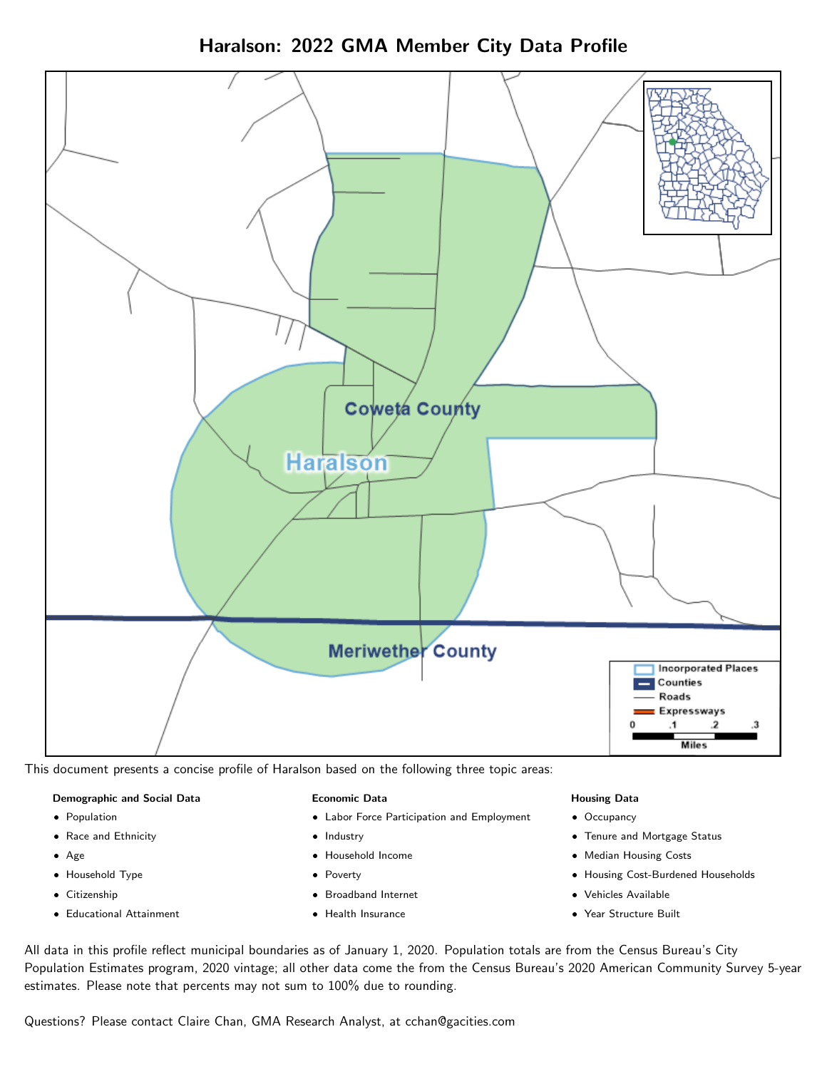



This document presents a concise profile of Haralson based on the following three topic areas:

## Demographic and Social Data

- **•** Population
- Race and Ethnicity
- Age
- Household Type
- **Citizenship**
- Educational Attainment

#### Economic Data

- Labor Force Participation and Employment
- Industry
- Household Income
- Poverty
- Broadband Internet
- Health Insurance

#### Housing Data

- Occupancy
- Tenure and Mortgage Status
- Median Housing Costs
- Housing Cost-Burdened Households
- Vehicles Available
- Year Structure Built

All data in this profile reflect municipal boundaries as of January 1, 2020. Population totals are from the Census Bureau's City Population Estimates program, 2020 vintage; all other data come the from the Census Bureau's 2020 American Community Survey 5-year estimates. Please note that percents may not sum to 100% due to rounding.

Questions? Please contact Claire Chan, GMA Research Analyst, at [cchan@gacities.com.](mailto:cchan@gacities.com)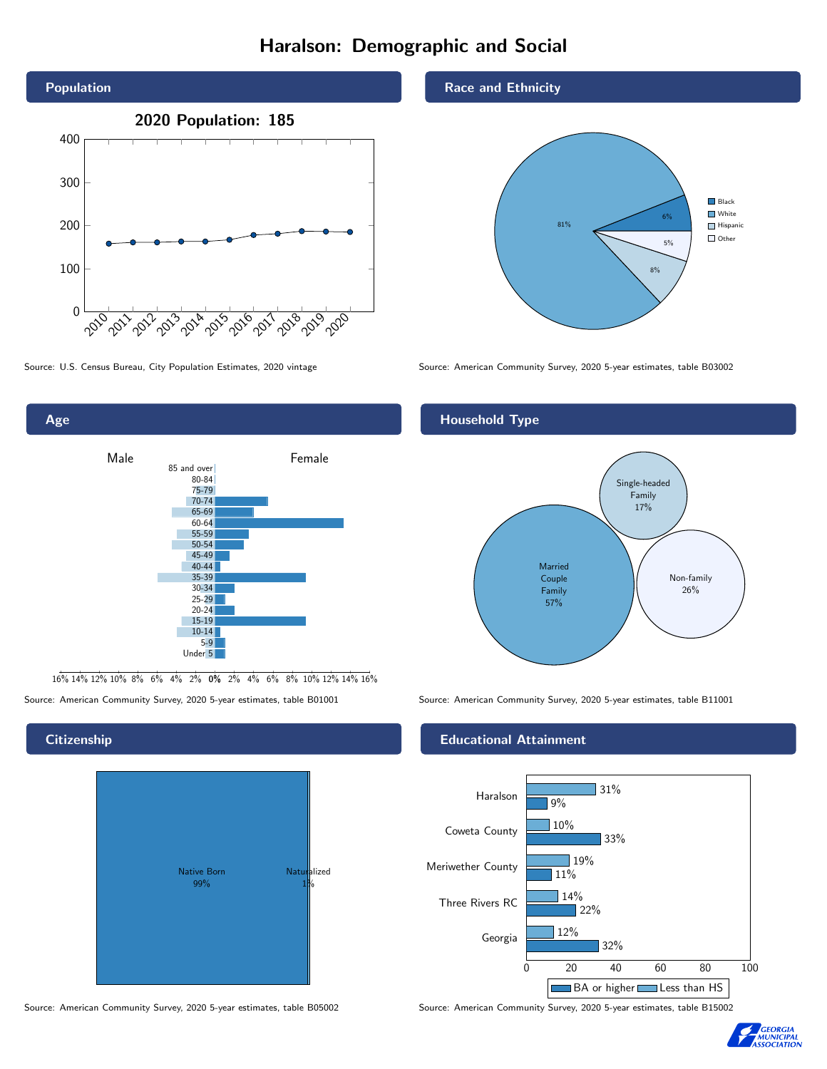# Haralson: Demographic and Social





16% 14% 12% 10% 8% 6% 4% 2% 0% 2% 4% 6% 8% 10% 12% 14% 16%

Source: American Community Survey, 2020 5-year estimates, table B01001 Source: American Community Survey, 2020 5-year estimates, table B11001

# Native Born 99% Naturalized 1%

### Race and Ethnicity



Source: U.S. Census Bureau, City Population Estimates, 2020 vintage Source: American Community Survey, 2020 5-year estimates, table B03002

# Household Type



## Educational Attainment



Source: American Community Survey, 2020 5-year estimates, table B05002 Source: American Community Survey, 2020 5-year estimates, table B15002



#### **Citizenship**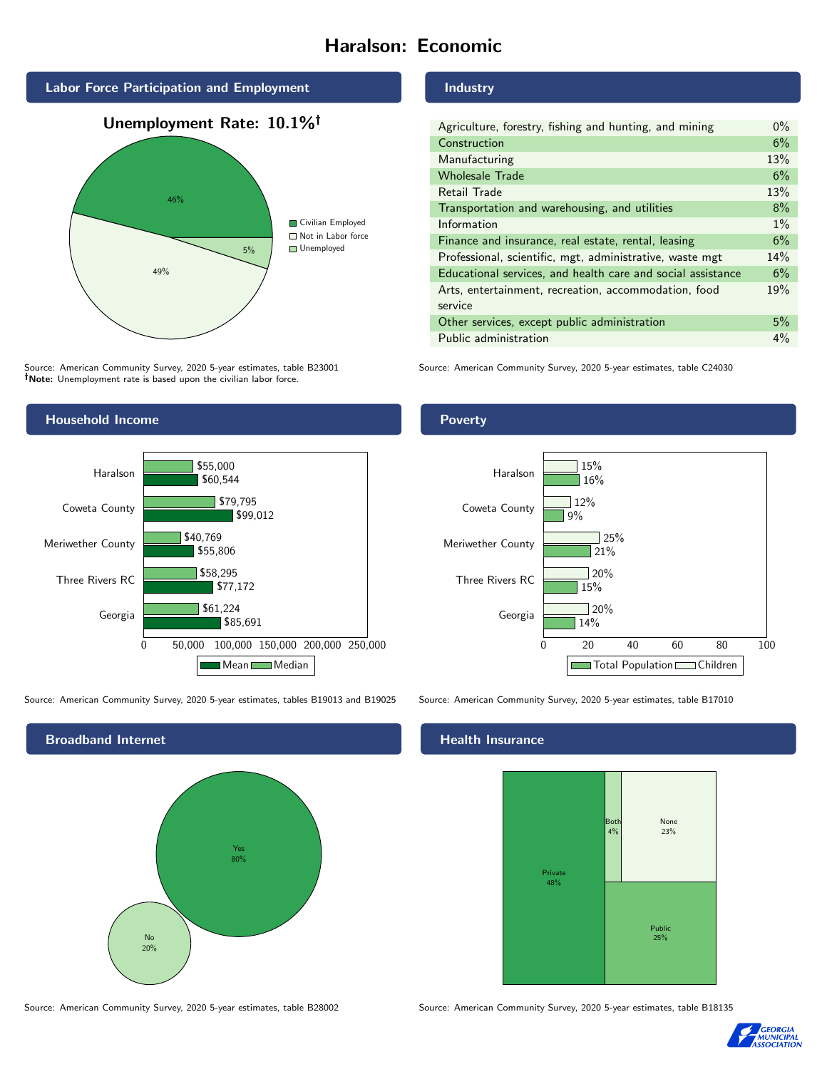# Haralson: Economic





Source: American Community Survey, 2020 5-year estimates, table B23001 Note: Unemployment rate is based upon the civilian labor force.

# Household Income



Source: American Community Survey, 2020 5-year estimates, tables B19013 and B19025 Source: American Community Survey, 2020 5-year estimates, table B17010



Source: American Community Survey, 2020 5-year estimates, table B28002 Source: American Community Survey, 2020 5-year estimates, table B18135

#### Industry

| Agriculture, forestry, fishing and hunting, and mining      | $0\%$ |
|-------------------------------------------------------------|-------|
| Construction                                                | 6%    |
| Manufacturing                                               | 13%   |
| <b>Wholesale Trade</b>                                      | 6%    |
| Retail Trade                                                | 13%   |
| Transportation and warehousing, and utilities               | 8%    |
| Information                                                 | $1\%$ |
| Finance and insurance, real estate, rental, leasing         | 6%    |
| Professional, scientific, mgt, administrative, waste mgt    | 14%   |
| Educational services, and health care and social assistance | 6%    |
| Arts, entertainment, recreation, accommodation, food        | 19%   |
| service                                                     |       |
| Other services, except public administration                | 5%    |
| Public administration                                       | $4\%$ |

Source: American Community Survey, 2020 5-year estimates, table C24030

# Poverty



## Health Insurance